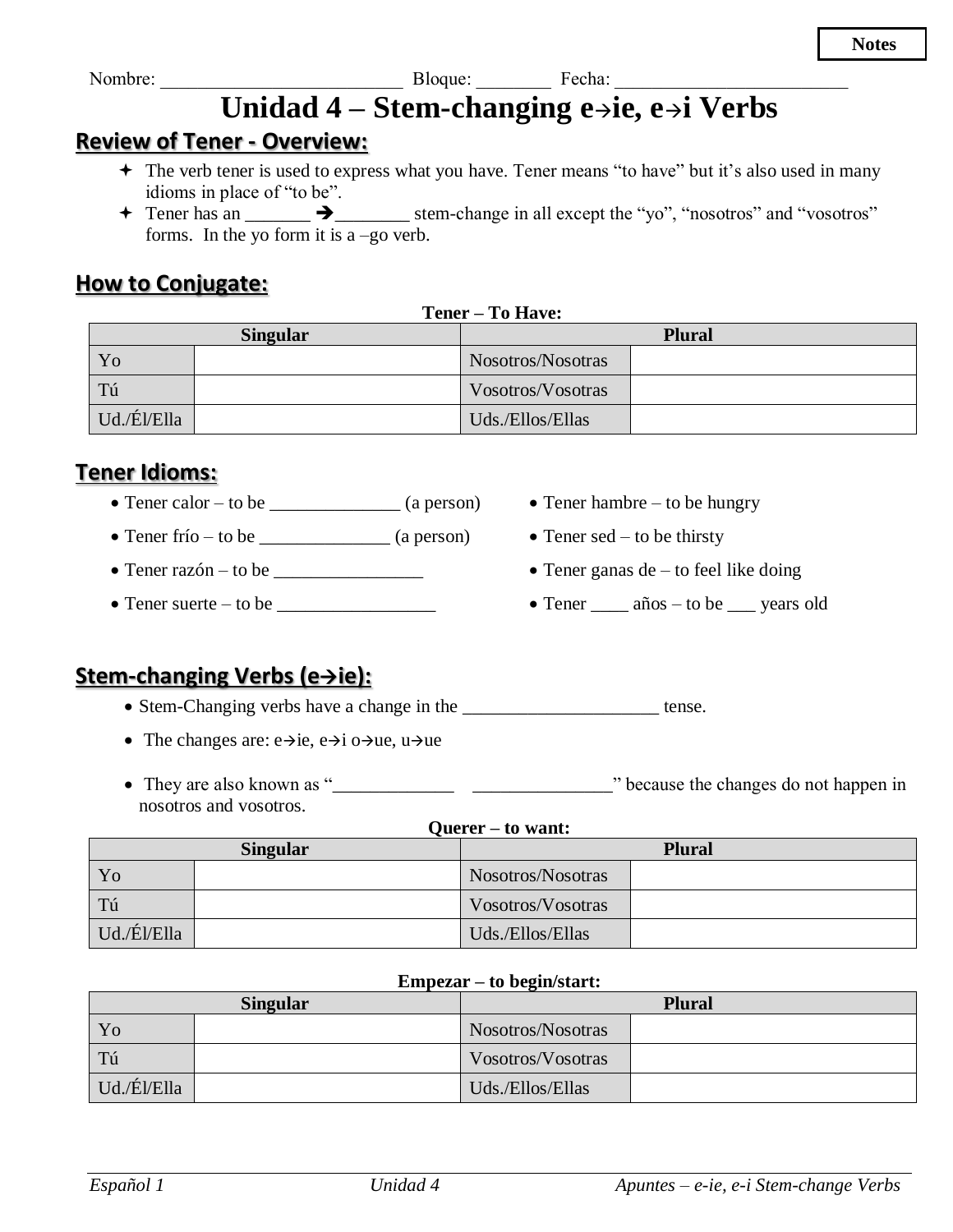Nombre:

# Unidad  $4 -$ Stem-changing e $\rightarrow$ ie, e $\rightarrow$ i Verbs

### **Review of Tener - Overview:**

- + The verb tener is used to express what you have. Tener means "to have" but it's also used in many idioms in place of "to be".
- $\uparrow$  Tener has an  $\rightarrow$  stem-change in all except the "yo", "nosotros" and "vosotros" forms. In the yo form it is a  $-g$ o verb.

### **How to Conjugate:**

| Tener – To Have:                 |  |                   |  |
|----------------------------------|--|-------------------|--|
| <b>Singular</b><br><b>Plural</b> |  |                   |  |
| Yo                               |  | Nosotros/Nosotras |  |
| Tú                               |  | Vosotros/Vosotras |  |
| Ud./Él/Ella                      |  | Uds./Ellos/Ellas  |  |

### **Tener Idioms:**

- Tener calor to be  $\qquad \qquad$  (a person)
- Tener frío to be  $(a person)$
- $\bullet$  Tener razón to be  $\_\_\_\_\_\_\_\_\_\_\_\_\_\_\_\_\_\_\_\_\_\_$
- $\bullet$  Tener suerte to be  $\_\_\_\_\_\_\_\_\_\_\_\_\_\_\_\_\_\_\_\_\_\_\_\_\_\_\_\_\_\_\_$
- Tener hambre  $-$  to be hungry
- $\bullet$  Tener sed to be thirsty
- $\bullet$  Tener ganas de to feel like doing
- $\bullet$  Tener \_\_\_\_\_\_ años to be \_\_\_\_\_ years old

# Stem-changing Verbs (e $\rightarrow$ ie):

• Stem-Changing verbs have a change in the \_\_\_\_\_\_\_\_\_\_\_\_\_\_\_\_\_\_\_\_\_\_\_\_ tense.

- The changes are:  $e \rightarrow ie$ ,  $e \rightarrow i$  o  $\rightarrow ue$ ,  $u \rightarrow ue$
- nosotros and vosotros.

#### **Ouerer** – to want:

| <b>Singular</b> |  | <b>Plural</b>     |  |
|-----------------|--|-------------------|--|
| Yo              |  | Nosotros/Nosotras |  |
| Tú              |  | Vosotros/Vosotras |  |
| Ud./Él/Ella     |  | Uds./Ellos/Ellas  |  |

#### Empezar – to begin/start:

| <b>Singular</b> |  | <b>Plural</b>     |  |
|-----------------|--|-------------------|--|
| Yo              |  | Nosotros/Nosotras |  |
| Tú              |  | Vosotros/Vosotras |  |
| Ud./Él/Ella     |  | Uds./Ellos/Ellas  |  |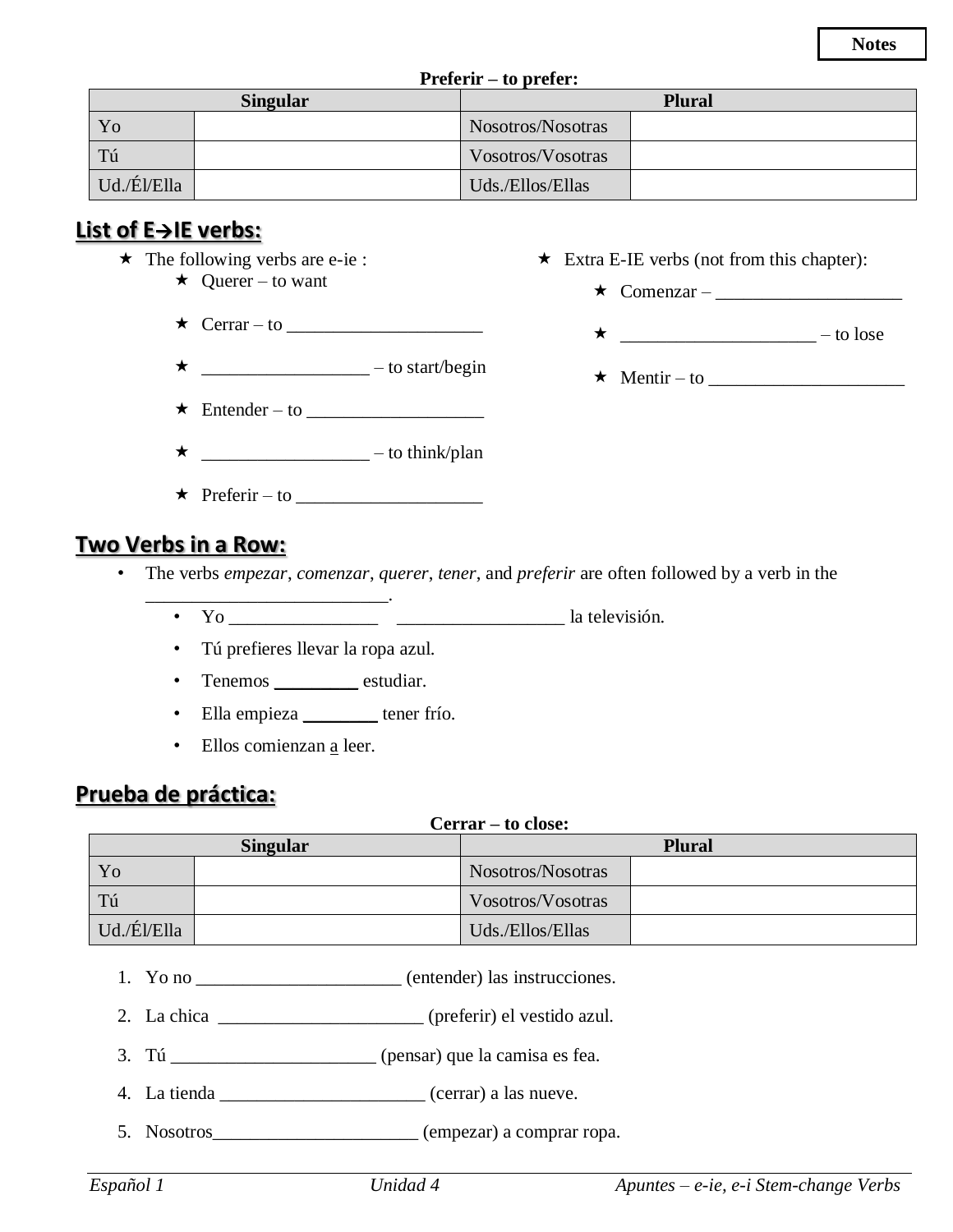**Notes**

| <b>Preferir</b> – to prefer:     |  |                   |  |
|----------------------------------|--|-------------------|--|
| <b>Singular</b><br><b>Plural</b> |  |                   |  |
| Yo                               |  | Nosotros/Nosotras |  |
| Tú                               |  | Vosotros/Vosotras |  |
| Ud./Él/Ella                      |  | Uds./Ellos/Ellas  |  |

# **List of E**→**IE verbs:**

- $\star$  The following verbs are e-ie :
	- $\star$  Querer to want
	- $\star$  Cerrar to
	- $\star$  \_\_\_\_\_\_\_\_\_\_\_\_\_\_\_\_\_\_\_\_\_ to start/begin
	- Entender to \_\_\_\_\_\_\_\_\_\_\_\_\_\_\_\_\_\_\_
	- \_\_\_\_\_\_\_\_\_\_\_\_\_\_\_\_\_\_ to think/plan
	- $\star$  Preferir to

# **Two Verbs in a Row:**

- The verbs *empezar*, *comenzar*, *querer*, *tener*, and *preferir* are often followed by a verb in the
	- \_\_\_\_\_\_\_\_\_\_\_\_\_\_\_\_\_\_\_\_\_\_\_\_\_\_. • Yo \_\_\_\_\_\_\_\_\_\_\_\_\_\_\_\_ \_\_\_\_\_\_\_\_\_\_\_\_\_\_\_\_\_\_ la televisión.
		- Tú prefieres llevar la ropa azul.
		- Tenemos estudiar.
		- Ella empieza \_\_\_\_\_\_\_\_ tener frío.
		- Ellos comienzan a leer.

# **Prueba de práctica:**

#### **Cerrar – to close:**

| <b>Singular</b> |  | <b>Plural</b>     |  |
|-----------------|--|-------------------|--|
| Yo              |  | Nosotros/Nosotras |  |
| Tú              |  | Vosotros/Vosotras |  |
| Ud./Él/Ella     |  | Uds./Ellos/Ellas  |  |

- 1. Yo no \_\_\_\_\_\_\_\_\_\_\_\_\_\_\_\_\_\_\_\_\_\_ (entender) las instrucciones.
- 2. La chica \_\_\_\_\_\_\_\_\_\_\_\_\_\_\_\_\_\_\_\_\_\_ (preferir) el vestido azul.
- 3. Tú \_\_\_\_\_\_\_\_\_\_\_\_\_\_\_\_\_\_\_\_\_\_ (pensar) que la camisa es fea.
- 4. La tienda \_\_\_\_\_\_\_\_\_\_\_\_\_\_\_\_\_\_\_\_\_\_ (cerrar) a las nueve.
- 5. Nosotros\_\_\_\_\_\_\_\_\_\_\_\_\_\_\_\_\_\_\_\_\_\_ (empezar) a comprar ropa.

*Español 1 Unidad 4 Apuntes – e-ie, e-i Stem-change Verbs*

#### $\star$  Extra E-IE verbs (not from this chapter):

 $\star$  Comenzar –

 $\star$  – to lose

 $\star$  Mentir – to